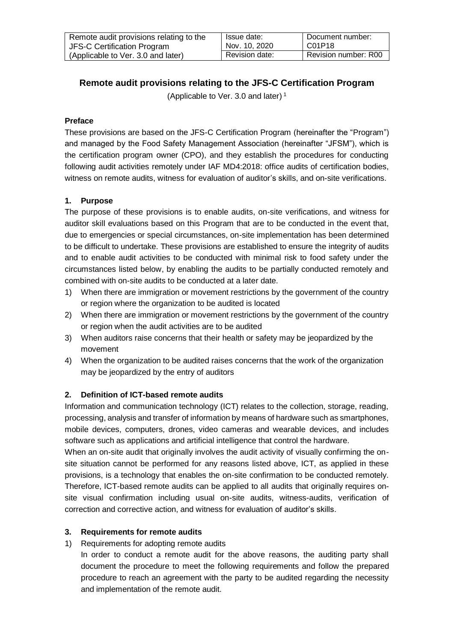| Remote audit provisions relating to the | Issue date:    | Document number:     |
|-----------------------------------------|----------------|----------------------|
| JFS-C Certification Program             | Nov. 10, 2020  | I C01P18             |
| (Applicable to Ver. 3.0 and later)      | Revision date: | Revision number: R00 |

# **Remote audit provisions relating to the JFS-C Certification Program**

(Applicable to Ver. 3.0 and later) 1

## **Preface**

These provisions are based on the JFS-C Certification Program (hereinafter the "Program") and managed by the Food Safety Management Association (hereinafter "JFSM"), which is the certification program owner (CPO), and they establish the procedures for conducting following audit activities remotely under IAF MD4:2018: office audits of certification bodies, witness on remote audits, witness for evaluation of auditor's skills, and on-site verifications.

## **1. Purpose**

The purpose of these provisions is to enable audits, on-site verifications, and witness for auditor skill evaluations based on this Program that are to be conducted in the event that, due to emergencies or special circumstances, on-site implementation has been determined to be difficult to undertake. These provisions are established to ensure the integrity of audits and to enable audit activities to be conducted with minimal risk to food safety under the circumstances listed below, by enabling the audits to be partially conducted remotely and combined with on-site audits to be conducted at a later date.

- 1) When there are immigration or movement restrictions by the government of the country or region where the organization to be audited is located
- 2) When there are immigration or movement restrictions by the government of the country or region when the audit activities are to be audited
- 3) When auditors raise concerns that their health or safety may be jeopardized by the movement
- 4) When the organization to be audited raises concerns that the work of the organization may be jeopardized by the entry of auditors

### **2. Definition of ICT-based remote audits**

Information and communication technology (ICT) relates to the collection, storage, reading, processing, analysis and transfer of information by means of hardware such as smartphones, mobile devices, computers, drones, video cameras and wearable devices, and includes software such as applications and artificial intelligence that control the hardware.

When an on-site audit that originally involves the audit activity of visually confirming the onsite situation cannot be performed for any reasons listed above, ICT, as applied in these provisions, is a technology that enables the on-site confirmation to be conducted remotely. Therefore, ICT-based remote audits can be applied to all audits that originally requires onsite visual confirmation including usual on-site audits, witness-audits, verification of correction and corrective action, and witness for evaluation of auditor's skills.

### **3. Requirements for remote audits**

### 1) Requirements for adopting remote audits

In order to conduct a remote audit for the above reasons, the auditing party shall document the procedure to meet the following requirements and follow the prepared procedure to reach an agreement with the party to be audited regarding the necessity and implementation of the remote audit.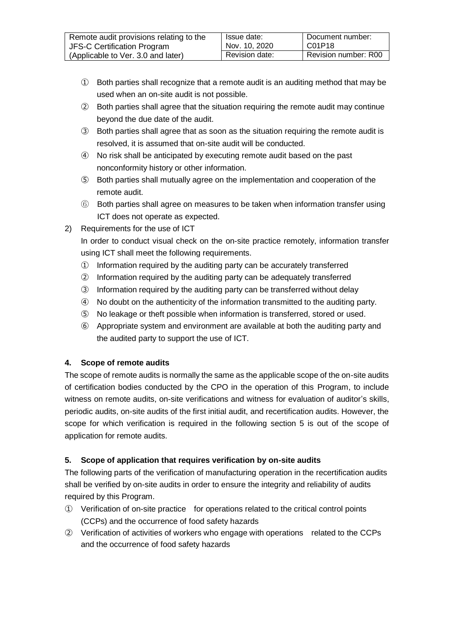| Remote audit provisions relating to the | Issue date:    | Document number:     |
|-----------------------------------------|----------------|----------------------|
| JFS-C Certification Program             | Nov. 10, 2020  | C01P18               |
| (Applicable to Ver. 3.0 and later)      | Revision date: | Revision number: R00 |

- ① Both parties shall recognize that a remote audit is an auditing method that may be used when an on-site audit is not possible.
- ② Both parties shall agree that the situation requiring the remote audit may continue beyond the due date of the audit.
- ③ Both parties shall agree that as soon as the situation requiring the remote audit is resolved, it is assumed that on-site audit will be conducted.
- ④ No risk shall be anticipated by executing remote audit based on the past nonconformity history or other information.
- ⑤ Both parties shall mutually agree on the implementation and cooperation of the remote audit.
- ⑥ Both parties shall agree on measures to be taken when information transfer using ICT does not operate as expected.
- 2) Requirements for the use of ICT

In order to conduct visual check on the on-site practice remotely, information transfer using ICT shall meet the following requirements.

- ① Information required by the auditing party can be accurately transferred
- ② Information required by the auditing party can be adequately transferred
- ③ Information required by the auditing party can be transferred without delay
- ④ No doubt on the authenticity of the information transmitted to the auditing party.
- ⑤ No leakage or theft possible when information is transferred, stored or used.
- ⑥ Appropriate system and environment are available at both the auditing party and the audited party to support the use of ICT.

### **4. Scope of remote audits**

The scope of remote audits is normally the same as the applicable scope of the on-site audits of certification bodies conducted by the CPO in the operation of this Program, to include witness on remote audits, on-site verifications and witness for evaluation of auditor's skills, periodic audits, on-site audits of the first initial audit, and recertification audits. However, the scope for which verification is required in the following section 5 is out of the scope of application for remote audits.

## **5. Scope of application that requires verification by on-site audits**

The following parts of the verification of manufacturing operation in the recertification audits shall be verified by on-site audits in order to ensure the integrity and reliability of audits required by this Program.

- ① Verification of on-site practice for operations related to the critical control points (CCPs) and the occurrence of food safety hazards
- ② Verification of activities of workers who engage with operations related to the CCPs and the occurrence of food safety hazards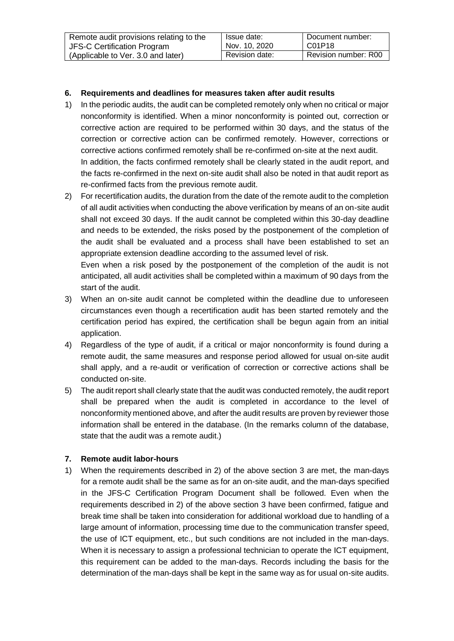| Remote audit provisions relating to the | Issue date:<br>Nov. 10, 2020 | Document number:<br>C01P18 |
|-----------------------------------------|------------------------------|----------------------------|
| JFS-C Certification Program             |                              |                            |
| (Applicable to Ver. 3.0 and later)      | Revision date:               | Revision number: R00       |

## **6. Requirements and deadlines for measures taken after audit results**

1) In the periodic audits, the audit can be completed remotely only when no critical or major nonconformity is identified. When a minor nonconformity is pointed out, correction or corrective action are required to be performed within 30 days, and the status of the correction or corrective action can be confirmed remotely. However, corrections or corrective actions confirmed remotely shall be re-confirmed on-site at the next audit. In addition, the facts confirmed remotely shall be clearly stated in the audit report, and the facts re-confirmed in the next on-site audit shall also be noted in that audit report as re-confirmed facts from the previous remote audit.

2) For recertification audits, the duration from the date of the remote audit to the completion of all audit activities when conducting the above verification by means of an on-site audit shall not exceed 30 days. If the audit cannot be completed within this 30-day deadline and needs to be extended, the risks posed by the postponement of the completion of the audit shall be evaluated and a process shall have been established to set an appropriate extension deadline according to the assumed level of risk.

Even when a risk posed by the postponement of the completion of the audit is not anticipated, all audit activities shall be completed within a maximum of 90 days from the start of the audit.

- 3) When an on-site audit cannot be completed within the deadline due to unforeseen circumstances even though a recertification audit has been started remotely and the certification period has expired, the certification shall be begun again from an initial application.
- 4) Regardless of the type of audit, if a critical or major nonconformity is found during a remote audit, the same measures and response period allowed for usual on-site audit shall apply, and a re-audit or verification of correction or corrective actions shall be conducted on-site.
- 5) The audit report shall clearly state that the audit was conducted remotely, the audit report shall be prepared when the audit is completed in accordance to the level of nonconformity mentioned above, and after the audit results are proven by reviewer those information shall be entered in the database. (In the remarks column of the database, state that the audit was a remote audit.)

### **7. Remote audit labor-hours**

1) When the requirements described in 2) of the above section 3 are met, the man-days for a remote audit shall be the same as for an on-site audit, and the man-days specified in the JFS-C Certification Program Document shall be followed. Even when the requirements described in 2) of the above section 3 have been confirmed, fatigue and break time shall be taken into consideration for additional workload due to handling of a large amount of information, processing time due to the communication transfer speed, the use of ICT equipment, etc., but such conditions are not included in the man-days. When it is necessary to assign a professional technician to operate the ICT equipment, this requirement can be added to the man-days. Records including the basis for the determination of the man-days shall be kept in the same way as for usual on-site audits.